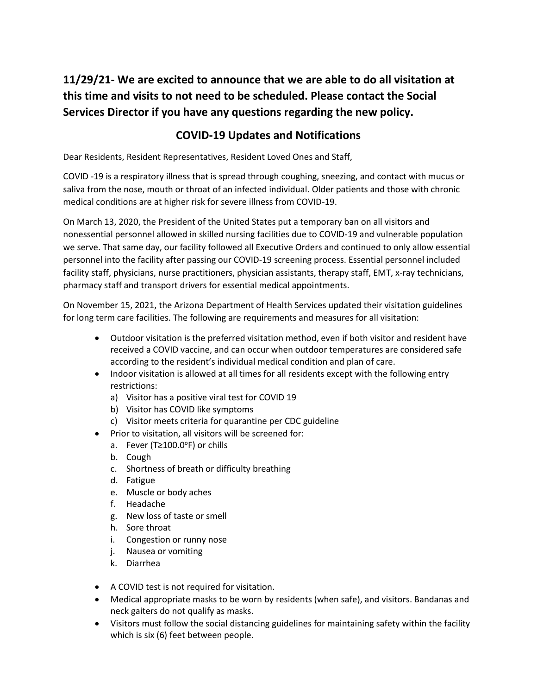# **11/29/21- We are excited to announce that we are able to do all visitation at this time and visits to not need to be scheduled. Please contact the Social Services Director if you have any questions regarding the new policy.**

# **COVID-19 Updates and Notifications**

Dear Residents, Resident Representatives, Resident Loved Ones and Staff,

COVID -19 is a respiratory illness that is spread through coughing, sneezing, and contact with mucus or saliva from the nose, mouth or throat of an infected individual. Older patients and those with chronic medical conditions are at higher risk for severe illness from COVID-19.

On March 13, 2020, the President of the United States put a temporary ban on all visitors and nonessential personnel allowed in skilled nursing facilities due to COVID-19 and vulnerable population we serve. That same day, our facility followed all Executive Orders and continued to only allow essential personnel into the facility after passing our COVID-19 screening process. Essential personnel included facility staff, physicians, nurse practitioners, physician assistants, therapy staff, EMT, x-ray technicians, pharmacy staff and transport drivers for essential medical appointments.

On November 15, 2021, the Arizona Department of Health Services updated their visitation guidelines for long term care facilities. The following are requirements and measures for all visitation:

- Outdoor visitation is the preferred visitation method, even if both visitor and resident have received a COVID vaccine, and can occur when outdoor temperatures are considered safe according to the resident's individual medical condition and plan of care.
- Indoor visitation is allowed at all times for all residents except with the following entry restrictions:
	- a) Visitor has a positive viral test for COVID 19
	- b) Visitor has COVID like symptoms
	- c) Visitor meets criteria for quarantine per CDC guideline
- Prior to visitation, all visitors will be screened for:
	- a. Fever (T≥100.0<sup>o</sup>F) or chills
	- b. Cough
	- c. Shortness of breath or difficulty breathing
	- d. Fatigue
	- e. Muscle or body aches
	- f. Headache
	- g. New loss of taste or smell
	- h. Sore throat
	- i. Congestion or runny nose
	- j. Nausea or vomiting
	- k. Diarrhea
- A COVID test is not required for visitation.
- Medical appropriate masks to be worn by residents (when safe), and visitors. Bandanas and neck gaiters do not qualify as masks.
- Visitors must follow the social distancing guidelines for maintaining safety within the facility which is six (6) feet between people.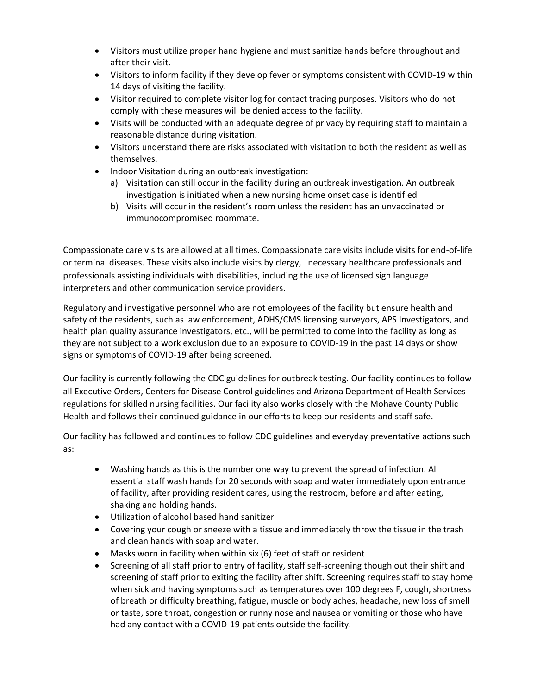- Visitors must utilize proper hand hygiene and must sanitize hands before throughout and after their visit.
- Visitors to inform facility if they develop fever or symptoms consistent with COVID-19 within 14 days of visiting the facility.
- Visitor required to complete visitor log for contact tracing purposes. Visitors who do not comply with these measures will be denied access to the facility.
- Visits will be conducted with an adequate degree of privacy by requiring staff to maintain a reasonable distance during visitation.
- Visitors understand there are risks associated with visitation to both the resident as well as themselves.
- Indoor Visitation during an outbreak investigation:
	- a) Visitation can still occur in the facility during an outbreak investigation. An outbreak investigation is initiated when a new nursing home onset case is identified
	- b) Visits will occur in the resident's room unless the resident has an unvaccinated or immunocompromised roommate.

Compassionate care visits are allowed at all times. Compassionate care visits include visits for end-of-life or terminal diseases. These visits also include visits by clergy, necessary healthcare professionals and professionals assisting individuals with disabilities, including the use of licensed sign language interpreters and other communication service providers.

Regulatory and investigative personnel who are not employees of the facility but ensure health and safety of the residents, such as law enforcement, ADHS/CMS licensing surveyors, APS Investigators, and health plan quality assurance investigators, etc., will be permitted to come into the facility as long as they are not subject to a work exclusion due to an exposure to COVID-19 in the past 14 days or show signs or symptoms of COVID-19 after being screened.

Our facility is currently following the CDC guidelines for outbreak testing. Our facility continues to follow all Executive Orders, Centers for Disease Control guidelines and Arizona Department of Health Services regulations for skilled nursing facilities. Our facility also works closely with the Mohave County Public Health and follows their continued guidance in our efforts to keep our residents and staff safe.

Our facility has followed and continues to follow CDC guidelines and everyday preventative actions such as:

- Washing hands as this is the number one way to prevent the spread of infection. All essential staff wash hands for 20 seconds with soap and water immediately upon entrance of facility, after providing resident cares, using the restroom, before and after eating, shaking and holding hands.
- Utilization of alcohol based hand sanitizer
- Covering your cough or sneeze with a tissue and immediately throw the tissue in the trash and clean hands with soap and water.
- Masks worn in facility when within six (6) feet of staff or resident
- Screening of all staff prior to entry of facility, staff self-screening though out their shift and screening of staff prior to exiting the facility after shift. Screening requires staff to stay home when sick and having symptoms such as temperatures over 100 degrees F, cough, shortness of breath or difficulty breathing, fatigue, muscle or body aches, headache, new loss of smell or taste, sore throat, congestion or runny nose and nausea or vomiting or those who have had any contact with a COVID-19 patients outside the facility.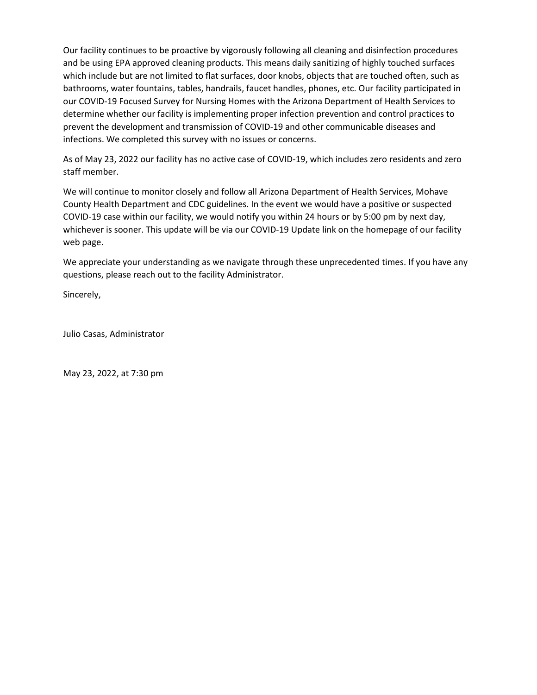Our facility continues to be proactive by vigorously following all cleaning and disinfection procedures and be using EPA approved cleaning products. This means daily sanitizing of highly touched surfaces which include but are not limited to flat surfaces, door knobs, objects that are touched often, such as bathrooms, water fountains, tables, handrails, faucet handles, phones, etc. Our facility participated in our COVID-19 Focused Survey for Nursing Homes with the Arizona Department of Health Services to determine whether our facility is implementing proper infection prevention and control practices to prevent the development and transmission of COVID-19 and other communicable diseases and infections. We completed this survey with no issues or concerns.

As of May 23, 2022 our facility has no active case of COVID-19, which includes zero residents and zero staff member.

We will continue to monitor closely and follow all Arizona Department of Health Services, Mohave County Health Department and CDC guidelines. In the event we would have a positive or suspected COVID-19 case within our facility, we would notify you within 24 hours or by 5:00 pm by next day, whichever is sooner. This update will be via our COVID-19 Update link on the homepage of our facility web page.

We appreciate your understanding as we navigate through these unprecedented times. If you have any questions, please reach out to the facility Administrator.

Sincerely,

Julio Casas, Administrator

May 23, 2022, at 7:30 pm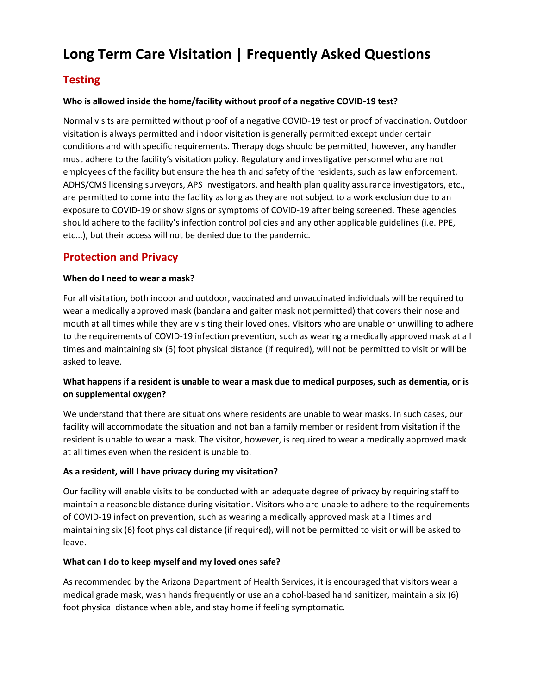# **Long Term Care Visitation | Frequently Asked Questions**

# **Testing**

## **Who is allowed inside the home/facility without proof of a negative COVID-19 test?**

Normal visits are permitted without proof of a negative COVID-19 test or proof of vaccination. Outdoor visitation is always permitted and indoor visitation is generally permitted except under certain conditions and with specific requirements. Therapy dogs should be permitted, however, any handler must adhere to the facility's visitation policy. Regulatory and investigative personnel who are not employees of the facility but ensure the health and safety of the residents, such as law enforcement, ADHS/CMS licensing surveyors, APS Investigators, and health plan quality assurance investigators, etc., are permitted to come into the facility as long as they are not subject to a work exclusion due to an exposure to COVID-19 or show signs or symptoms of COVID-19 after being screened. These agencies should adhere to the facility's infection control policies and any other applicable guidelines (i.e. PPE, etc...), but their access will not be denied due to the pandemic.

# **Protection and Privacy**

#### **When do I need to wear a mask?**

For all visitation, both indoor and outdoor, vaccinated and unvaccinated individuals will be required to wear a medically approved mask (bandana and gaiter mask not permitted) that covers their nose and mouth at all times while they are visiting their loved ones. Visitors who are unable or unwilling to adhere to the requirements of COVID-19 infection prevention, such as wearing a medically approved mask at all times and maintaining six (6) foot physical distance (if required), will not be permitted to visit or will be asked to leave.

## **What happens if a resident is unable to wear a mask due to medical purposes, such as dementia, or is on supplemental oxygen?**

We understand that there are situations where residents are unable to wear masks. In such cases, our facility will accommodate the situation and not ban a family member or resident from visitation if the resident is unable to wear a mask. The visitor, however, is required to wear a medically approved mask at all times even when the resident is unable to.

## **As a resident, will I have privacy during my visitation?**

Our facility will enable visits to be conducted with an adequate degree of privacy by requiring staff to maintain a reasonable distance during visitation. Visitors who are unable to adhere to the requirements of COVID-19 infection prevention, such as wearing a medically approved mask at all times and maintaining six (6) foot physical distance (if required), will not be permitted to visit or will be asked to leave.

## **What can I do to keep myself and my loved ones safe?**

As recommended by the Arizona Department of Health Services, it is encouraged that visitors wear a medical grade mask, wash hands frequently or use an alcohol-based hand sanitizer, maintain a six (6) foot physical distance when able, and stay home if feeling symptomatic.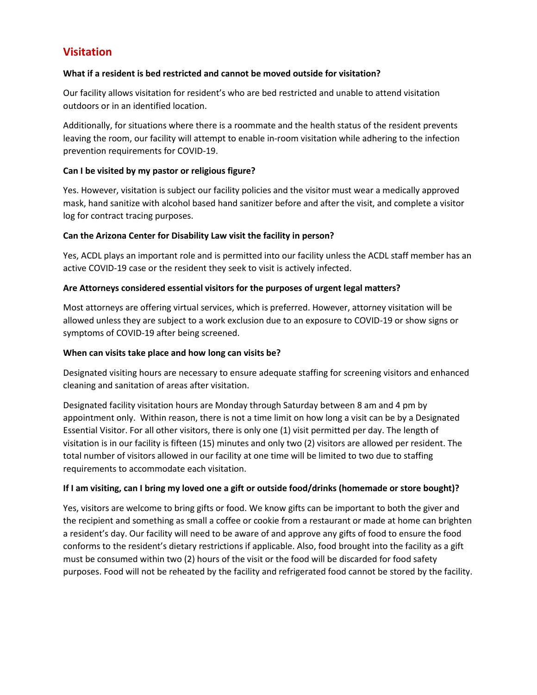# **Visitation**

#### **What if a resident is bed restricted and cannot be moved outside for visitation?**

Our facility allows visitation for resident's who are bed restricted and unable to attend visitation outdoors or in an identified location.

Additionally, for situations where there is a roommate and the health status of the resident prevents leaving the room, our facility will attempt to enable in-room visitation while adhering to the infection prevention requirements for COVID-19.

#### **Can I be visited by my pastor or religious figure?**

Yes. However, visitation is subject our facility policies and the visitor must wear a medically approved mask, hand sanitize with alcohol based hand sanitizer before and after the visit, and complete a visitor log for contract tracing purposes.

#### **Can the Arizona Center for Disability Law visit the facility in person?**

Yes, ACDL plays an important role and is permitted into our facility unless the ACDL staff member has an active COVID-19 case or the resident they seek to visit is actively infected.

#### **Are Attorneys considered essential visitors for the purposes of urgent legal matters?**

Most attorneys are offering virtual services, which is preferred. However, attorney visitation will be allowed unless they are subject to a work exclusion due to an exposure to COVID-19 or show signs or symptoms of COVID-19 after being screened.

### **When can visits take place and how long can visits be?**

Designated visiting hours are necessary to ensure adequate staffing for screening visitors and enhanced cleaning and sanitation of areas after visitation.

Designated facility visitation hours are Monday through Saturday between 8 am and 4 pm by appointment only. Within reason, there is not a time limit on how long a visit can be by a Designated Essential Visitor. For all other visitors, there is only one (1) visit permitted per day. The length of visitation is in our facility is fifteen (15) minutes and only two (2) visitors are allowed per resident. The total number of visitors allowed in our facility at one time will be limited to two due to staffing requirements to accommodate each visitation.

## **If I am visiting, can I bring my loved one a gift or outside food/drinks (homemade or store bought)?**

Yes, visitors are welcome to bring gifts or food. We know gifts can be important to both the giver and the recipient and something as small a coffee or cookie from a restaurant or made at home can brighten a resident's day. Our facility will need to be aware of and approve any gifts of food to ensure the food conforms to the resident's dietary restrictions if applicable. Also, food brought into the facility as a gift must be consumed within two (2) hours of the visit or the food will be discarded for food safety purposes. Food will not be reheated by the facility and refrigerated food cannot be stored by the facility.